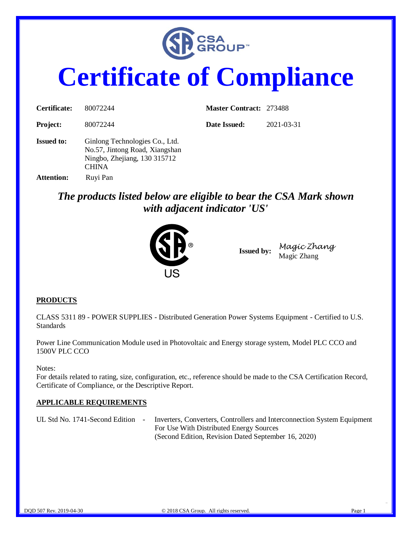

# **Certificate of Compliance**

| Certificate:      | 80072244                                                                                                         | <b>Master Contract: 273488</b> |            |
|-------------------|------------------------------------------------------------------------------------------------------------------|--------------------------------|------------|
| <b>Project:</b>   | 80072244                                                                                                         | Date Issued:                   | 2021-03-31 |
| <b>Issued to:</b> | Ginlong Technologies Co., Ltd.<br>No.57, Jintong Road, Xiangshan<br>Ningbo, Zhejiang, 130 315712<br><b>CHINA</b> |                                |            |
| <b>Attention:</b> | Ruyi Pan                                                                                                         |                                |            |

*The products listed below are eligible to bear the CSA Mark shown with adjacent indicator 'US'* 



**Issued by:** *Magic Zhang* Magic Zhang

#### **PRODUCTS**

CLASS 5311 89 - POWER SUPPLIES - Distributed Generation Power Systems Equipment - Certified to U.S. **Standards** 

Power Line Communication Module used in Photovoltaic and Energy storage system, Model PLC CCO and 1500V PLC CCO

Notes:

For details related to rating, size, configuration, etc., reference should be made to the CSA Certification Record, Certificate of Compliance, or the Descriptive Report.

#### **APPLICABLE REQUIREMENTS**

UL Std No. 1741-Second Edition - Inverters, Converters, Controllers and Interconnection System Equipment For Use With Distributed Energy Sources (Second Edition, Revision Dated September 16, 2020)